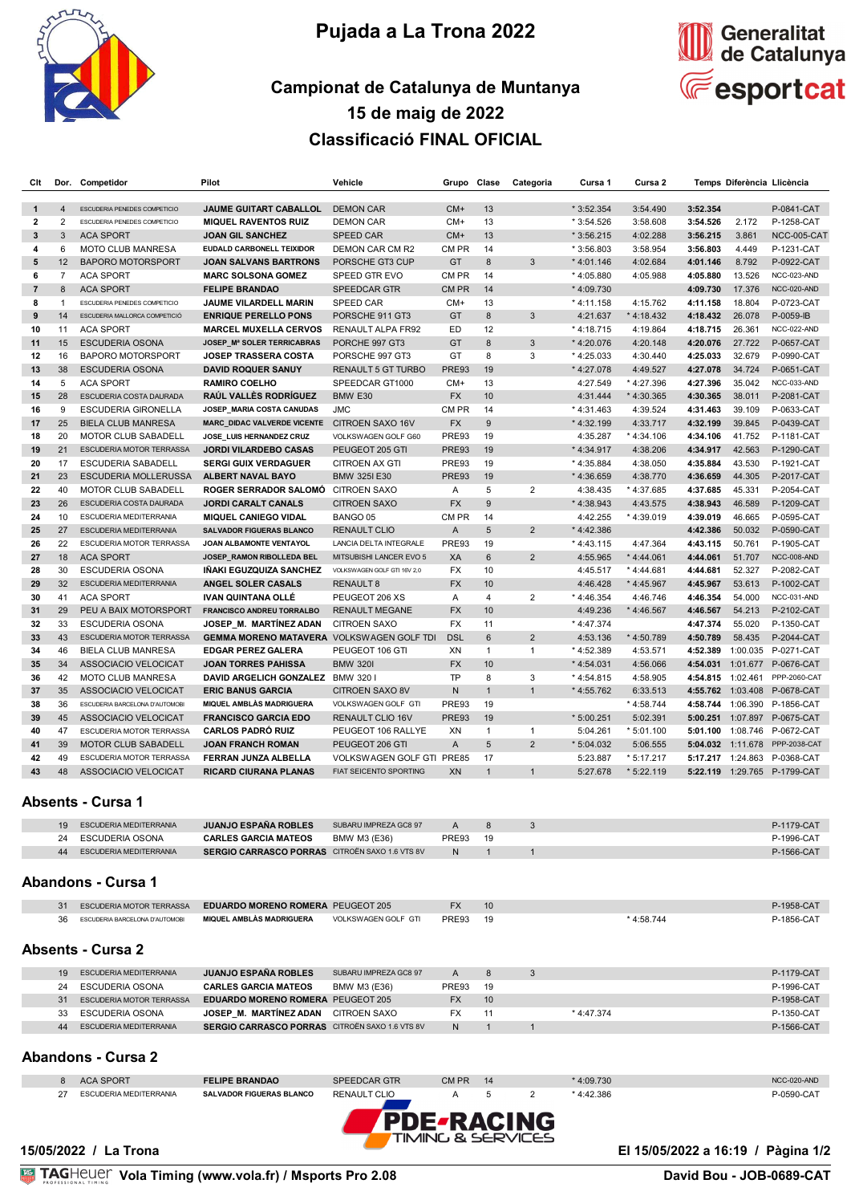

## **Pujada a La Trona 2022**



## **Campionat de Catalunya de Muntanya 15 de maig de 2022 Classificació FINAL OFICIAL**

| Clt                       |                 | Dor. Competidor                                    | Pilot                                                      | Vehicle                                       | Grupo          | Clase                | Categoria               | Cursa 1                 | Cursa 2                 |                      |                  | Temps Diferència Llicència   |
|---------------------------|-----------------|----------------------------------------------------|------------------------------------------------------------|-----------------------------------------------|----------------|----------------------|-------------------------|-------------------------|-------------------------|----------------------|------------------|------------------------------|
| $\mathbf{1}$              | $\overline{4}$  | ESCUDERIA PENEDES COMPETICIO                       | <b>JAUME GUITART CABALLOL</b>                              | <b>DEMON CAR</b>                              | CM+            | 13                   |                         | $*3:52.354$             | 3:54.490                | 3:52.354             |                  | P-0841-CAT                   |
| 2                         | $\overline{2}$  | ESCUDERIA PENEDES COMPETICIO                       | <b>MIQUEL RAVENTOS RUIZ</b>                                | <b>DEMON CAR</b>                              | $CM+$          | 13                   |                         | * 3:54.526              | 3:58.608                | 3:54.526             | 2.172            | P-1258-CAT                   |
| $\mathbf{3}$              | 3               | <b>ACA SPORT</b>                                   | <b>JOAN GIL SANCHEZ</b>                                    | <b>SPEED CAR</b>                              | $CM+$          | 13                   |                         | $*3:56.215$             | 4:02.288                | 3:56.215             | 3.861            | NCC-005-CAT                  |
| 4                         | 6               | <b>MOTO CLUB MANRESA</b>                           | <b>EUDALD CARBONELL TEIXIDOR</b>                           | DEMON CAR CM R2                               | CM PR          | 14                   |                         | $*3:56.803$             | 3:58.954                | 3:56.803             | 4.449            | P-1231-CAT                   |
| 5                         | 12 <sup>2</sup> | <b>BAPORO MOTORSPORT</b>                           | <b>JOAN SALVANS BARTRONS</b>                               | PORSCHE GT3 CUP                               | GT             | 8                    | 3                       | $*4:01.146$             | 4:02.684                | 4:01.146             | 8.792            | P-0922-CAT                   |
| 6                         | $\overline{7}$  | <b>ACA SPORT</b>                                   | <b>MARC SOLSONA GOMEZ</b>                                  | <b>SPEED GTR EVO</b>                          | CM PR          | 14                   |                         | $*4:05.880$             | 4:05.988                | 4:05.880             | 13.526           | NCC-023-AND                  |
| $\overline{7}$            | 8               | <b>ACA SPORT</b>                                   | <b>FELIPE BRANDAO</b>                                      | <b>SPEEDCAR GTR</b>                           | CM PR          | 14                   |                         | * 4:09.730              |                         | 4:09.730             | 17.376           | NCC-020-AND                  |
| 8                         | 1               | ESCUDERIA PENEDES COMPETICIO                       | JAUME VILARDELL MARIN                                      | SPEED CAR                                     | $CM+$          | 13                   |                         | $*4:11.158$             | 4:15.762                | 4:11.158             | 18.804           | P-0723-CAT                   |
| 9                         | 14              | ESCUDERIA MALLORCA COMPETICIÓ                      | <b>ENRIQUE PERELLO PONS</b>                                | PORSCHE 911 GT3                               | GT             | 8                    | 3                       | 4:21.637                | * 4:18.432              | 4:18.432             | 26.078           | $P-0059-B$                   |
| 10                        | 11              | <b>ACA SPORT</b>                                   | <b>MARCEL MUXELLA CERVOS</b>                               | RENAULT ALPA FR92                             | ED             | 12                   |                         | * 4:18.715              | 4:19.864                | 4:18.715             | 26.361           | NCC-022-AND                  |
| 11                        | 15              | <b>ESCUDERIA OSONA</b>                             | JOSEP_Mª SOLER TERRICABRAS                                 | PORCHE 997 GT3                                | GT             | 8                    | 3                       | * 4:20.076              | 4:20.148                | 4:20.076             | 27.722           | P-0657-CAT                   |
| 12                        | 16              | <b>BAPORO MOTORSPORT</b>                           | <b>JOSEP TRASSERA COSTA</b>                                | PORSCHE 997 GT3                               | GT             | 8                    | 3                       | $*4:25.033$             | 4:30.440                | 4:25.033             | 32.679           | P-0990-CAT                   |
| 13                        | 38              | <b>ESCUDERIA OSONA</b>                             | <b>DAVID ROQUER SANUY</b>                                  | <b>RENAULT 5 GT TURBO</b>                     | <b>PRE93</b>   | 19                   |                         | * 4:27.078              | 4:49.527                | 4:27.078             | 34.724           | P-0651-CAT                   |
| 14                        | 5               | <b>ACA SPORT</b>                                   | <b>RAMIRO COELHO</b>                                       | SPEEDCAR GT1000                               | $CM+$          | 13                   |                         | 4:27.549                | * 4:27.396              | 4:27.396             | 35.042           | NCC-033-AND                  |
| 15                        | 28              | ESCUDERIA COSTA DAURADA                            | RAÚL VALLÈS RODRÍGUEZ                                      | BMW E30                                       | <b>FX</b>      | 10                   |                         | 4:31.444                | * 4:30.365              | 4:30.365             | 38.011           | P-2081-CAT                   |
| 16                        | 9               | <b>ESCUDERIA GIRONELLA</b>                         | JOSEP_MARIA COSTA CANUDAS                                  | <b>JMC</b>                                    | CM PR          | 14                   |                         | $*4:31.463$             | 4:39.524                | 4:31.463             | 39.109           | P-0633-CAT                   |
| 17                        | 25              | <b>BIELA CLUB MANRESA</b>                          | <b>MARC_DIDAC VALVERDE VICENTE</b>                         | CITROEN SAXO 16V                              | <b>FX</b>      | 9                    |                         | * 4:32.199              | 4:33.717                | 4:32.199             | 39.845           | P-0439-CAT                   |
| 18                        | 20              | <b>MOTOR CLUB SABADELL</b>                         | JOSE_LUIS HERNANDEZ CRUZ                                   | VOLKSWAGEN GOLF G60                           | PRE93          | 19                   |                         | 4:35.287                | * 4:34.106              | 4:34.106             | 41.752           | P-1181-CAT                   |
| 19                        | 21              | ESCUDERIA MOTOR TERRASSA                           | <b>JORDI VILARDEBO CASAS</b>                               | PEUGEOT 205 GTI                               | PRE93          | 19                   |                         | * 4:34.917              | 4:38.206                | 4:34.917             | 42.563           | P-1290-CAT                   |
| 20                        | 17              | <b>ESCUDERIA SABADELL</b>                          | <b>SERGI GUIX VERDAGUER</b>                                | <b>CITROEN AX GTI</b>                         | PRE93          | 19                   |                         | $*4:35.884$             | 4:38.050                | 4:35.884             | 43.530           | P-1921-CAT                   |
| 21                        | 23              | <b>ESCUDERIA MOLLERUSSA</b>                        | ALBERT NAVAL BAYO                                          | <b>BMW 325I E30</b>                           | <b>PRE93</b>   | 19                   |                         | $*4:36.659$             | 4:38.770                | 4:36.659             | 44.305           | P-2017-CAT                   |
| 22                        | 40              | <b>MOTOR CLUB SABADELL</b>                         | ROGER SERRADOR SALOMÓ CITROEN SAXO                         |                                               | Α              | 5                    | 2                       | 4:38.435                | * 4:37.685              | 4:37.685             | 45.331           | P-2054-CAT                   |
| 23                        | 26              | ESCUDERIA COSTA DAURADA                            | <b>JORDI CARALT CANALS</b>                                 | <b>CITROEN SAXO</b>                           | <b>FX</b>      | $9\,$                |                         | $*4:38.943$             | 4:43.575                | 4:38.943             | 46.589           | P-1209-CAT                   |
| 24                        | 10<br>27        | ESCUDERIA MEDITERRANIA                             | <b>MIQUEL CANIEGO VIDAL</b>                                | BANGO 05                                      | CM PR          | 14                   |                         | 4:42.255                | $*4:39.019$             | 4:39.019             | 46.665           | P-0595-CAT                   |
| 25<br>26                  | 22              | ESCUDERIA MEDITERRANIA<br>ESCUDERIA MOTOR TERRASSA | <b>SALVADOR FIGUERAS BLANCO</b><br>JOAN ALBAMONTE VENTAYOL | <b>RENAULT CLIO</b><br>LANCIA DELTA INTEGRALE | Α<br>PRE93     | 5                    | $\overline{2}$          | $*4:42.386$             |                         | 4:42.386             | 50.032<br>50.761 | P-0590-CAT<br>P-1905-CAT     |
| 27                        | 18              | <b>ACA SPORT</b>                                   | JOSEP_RAMON RIBOLLEDA BEL                                  | MITSUBISHI LANCER EVO 5                       | XA             | 19<br>$6\phantom{1}$ | $\overline{2}$          | $*4:43.115$<br>4:55.965 | 4:47.364<br>$*4:44.061$ | 4:43.115<br>4:44.061 | 51.707           | NCC-008-AND                  |
| 28                        | 30              | <b>ESCUDERIA OSONA</b>                             | IÑAKI EGUZQUIZA SANCHEZ                                    | VOLKSWAGEN GOLF GTI 16V 2,0                   | FX             | 10                   |                         | 4:45.517                | *4:44.681               | 4:44.681             | 52.327           | P-2082-CAT                   |
| 29                        | 32 <sup>2</sup> | ESCUDERIA MEDITERRANIA                             | ANGEL SOLER CASALS                                         | <b>RENAULT 8</b>                              | <b>FX</b>      | 10                   |                         | 4:46.428                | * 4:45.967              | 4:45.967             | 53.613           | P-1002-CAT                   |
| 30                        | 41              | <b>ACA SPORT</b>                                   | <b>IVAN QUINTANA OLLE</b>                                  | PEUGEOT 206 XS                                | $\overline{A}$ | 4                    | 2                       | $*4:46.354$             | 4:46.746                | 4:46.354             | 54.000           | NCC-031-AND                  |
| 31                        | 29              | PEU A BAIX MOTORSPORT                              | <b>FRANCISCO ANDREU TORRALBO</b>                           | <b>RENAULT MEGANE</b>                         | <b>FX</b>      | 10                   |                         | 4:49.236                | $*4:46.567$             | 4:46.567             | 54.213           | P-2102-CAT                   |
| 32                        | 33              | <b>ESCUDERIA OSONA</b>                             | JOSEP_M. MARTINEZ ADAN                                     | <b>CITROEN SAXO</b>                           | FX             | 11                   |                         | $*4:47.374$             |                         | 4:47.374             | 55.020           | P-1350-CAT                   |
| 33                        | 43              | ESCUDERIA MOTOR TERRASSA                           | <b>GEMMA MORENO MATAVERA</b>                               | <b>VOLKSWAGEN GOLF TDI</b>                    | <b>DSL</b>     | 6                    | $\overline{2}$          | 4:53.136                | * 4:50.789              | 4:50.789             | 58.435           | P-2044-CAT                   |
| 34                        | 46              | <b>BIELA CLUB MANRESA</b>                          | <b>EDGAR PEREZ GALERA</b>                                  | PEUGEOT 106 GTI                               | XN             | $\mathbf{1}$         | $\mathbf{1}$            | $*4:52.389$             | 4:53.571                | 4:52.389             | 1:00.035         | P-0271-CAT                   |
| 35                        | 34              | ASSOCIACIO VELOCICAT                               | <b>JOAN TORRES PAHISSA</b>                                 | <b>BMW 3201</b>                               | <b>FX</b>      | 10                   |                         | $*4:54.031$             | 4:56.066                | 4:54.031             | 1:01.677         | P-0676-CAT                   |
| 36                        | 42              | <b>MOTO CLUB MANRESA</b>                           | DAVID ARGELICH GONZALEZ BMW 320 I                          |                                               | <b>TP</b>      | 8                    | 3                       | $*4:54.815$             | 4:58.905                | 4:54.815 1:02.461    |                  | <b>PPP-2060-CAT</b>          |
| 37                        | 35              | ASSOCIACIO VELOCICAT                               | <b>ERIC BANUS GARCIA</b>                                   | <b>CITROEN SAXO 8V</b>                        | ${\sf N}$      | $\mathbf{1}$         | $\mathbf{1}$            | * 4:55.762              | 6:33.513                |                      |                  | 4:55.762 1:03.408 P-0678-CAT |
| 38                        | 36              | ESCUDERIA BARCELONA D'AUTOMOBI                     | <b>MIQUEL AMBLÀS MADRIGUERA</b>                            | VOLKSWAGEN GOLF GTI                           | PRE93          | 19                   |                         |                         | * 4:58.744              | 4:58.744             | 1:06.390         | P-1856-CAT                   |
| 39                        | 45              | ASSOCIACIO VELOCICAT                               | <b>FRANCISCO GARCIA EDO</b>                                | <b>RENAULT CLIO 16V</b>                       | <b>PRE93</b>   | 19                   |                         | * 5:00.251              | 5:02.391                | 5:00.251             |                  | 1:07.897 P-0675-CAT          |
| 40                        | 47              | ESCUDERIA MOTOR TERRASSA                           | <b>CARLOS PADRÓ RUIZ</b>                                   | PEUGEOT 106 RALLYE                            | XN             | $\mathbf{1}$         | $\mathbf{1}$            | 5:04.261                | $*5:01.100$             |                      |                  | 5:01.100 1:08.746 P-0672-CAT |
| 41                        | 39              | <b>MOTOR CLUB SABADELL</b>                         | <b>JOAN FRANCH ROMAN</b>                                   | PEUGEOT 206 GTI                               | Α              | 5                    | $\overline{2}$          | $*5:04.032$             | 5:06.555                | 5:04.032             | 1:11.678         | <b>PPP-2038-CAT</b>          |
| 42                        | 49              | ESCUDERIA MOTOR TERRASSA                           | FERRAN JUNZA ALBELLA                                       | <b>VOLKSWAGEN GOLF GTI PRE85</b>              |                | 17                   |                         | 5:23.887                | * 5:17.217              | 5:17.217 1:24.863    |                  | P-0368-CAT                   |
| 43                        | 48              | ASSOCIACIO VELOCICAT                               | <b>RICARD CIURANA PLANAS</b>                               | <b>FIAT SEICENTO SPORTING</b>                 | XN             | $\overline{1}$       | $\mathbf{1}$            | 5:27.678                | $*5:22.119$             | 5:22.119             |                  | 1:29.765 P-1799-CAT          |
|                           |                 | Absents - Cursa 1                                  |                                                            |                                               |                |                      |                         |                         |                         |                      |                  |                              |
|                           | 19              | ESCUDERIA MEDITERRANIA                             | <b>JUANJO ESPAÑA ROBLES</b>                                | SUBARU IMPREZA GC8 97                         | A              | 8                    | 3                       |                         |                         |                      |                  | P-1179-CAT                   |
|                           | 24              | ESCUDERIA OSONA                                    | <b>CARLES GARCIA MATEOS</b>                                | BMW M3 (E36)                                  | PRE93          | 19                   |                         |                         |                         |                      |                  | P-1996-CAT                   |
|                           | 44              | ESCUDERIA MEDITERRANIA                             | <b>SERGIO CARRASCO PORRAS</b> CITROËN SAXO 1.6 VTS 8V      |                                               | N              | $\mathbf{1}$         | $\mathbf{1}$            |                         |                         |                      |                  | P-1566-CAT                   |
| <b>Abandons - Cursa 1</b> |                 |                                                    |                                                            |                                               |                |                      |                         |                         |                         |                      |                  |                              |
|                           | 31              | ESCUDERIA MOTOR TERRASSA                           | <b>EDUARDO MORENO ROMERA PEUGEOT 205</b>                   |                                               | FX             | 10                   |                         |                         |                         |                      |                  | P-1958-CAT                   |
|                           | 36              | ESCUDERIA BARCELONA D'AUTOMOBI                     | <b>MIQUEL AMBLÀS MADRIGUERA</b>                            | VOLKSWAGEN GOLF GTI                           | PRE93          | 19                   |                         |                         | * 4:58.744              |                      |                  | P-1856-CAT                   |
|                           |                 | <b>Absents - Cursa 2</b>                           |                                                            |                                               |                |                      |                         |                         |                         |                      |                  |                              |
|                           | 19              | ESCUDERIA MEDITERRANIA                             | <b>JUANJO ESPAÑA ROBLES</b>                                | SUBARU IMPREZA GC8 97                         | Α              | 8                    | 3                       |                         |                         |                      |                  | P-1179-CAT                   |
|                           | 24              | <b>ESCUDERIA OSONA</b>                             | <b>CARLES GARCIA MATEOS</b>                                | BMW M3 (E36)                                  | PRE93          | 19                   |                         |                         |                         |                      |                  | P-1996-CAT                   |
|                           | 31              | ESCUDERIA MOTOR TERRASSA                           | <b>EDUARDO MORENO ROMERA PEUGEOT 205</b>                   |                                               | <b>FX</b>      | 10                   |                         |                         |                         |                      |                  | P-1958-CAT                   |
|                           | 33              | <b>ESCUDERIA OSONA</b>                             | JOSEP_M. MARTINEZ ADAN                                     | <b>CITROEN SAXO</b>                           | FX             | 11                   |                         | * 4:47.374              |                         |                      |                  | P-1350-CAT                   |
|                           | 44              | ESCUDERIA MEDITERRANIA                             | <b>SERGIO CARRASCO PORRAS</b> CITROËN SAXO 1.6 VTS 8V      |                                               | N              | $\mathbf{1}$         | $\overline{1}$          |                         |                         |                      |                  | P-1566-CAT                   |
|                           |                 | <b>Abandons - Cursa 2</b>                          |                                                            |                                               |                |                      |                         |                         |                         |                      |                  |                              |
|                           | 8               | <b>ACA SPORT</b>                                   | <b>FELIPE BRANDAO</b>                                      | <b>SPEEDCAR GTR</b>                           | CM PR          | 14                   |                         | * 4:09.730              |                         |                      |                  | NCC-020-AND                  |
|                           | 27              | ESCUDERIA MEDITERRANIA                             | SALVADOR FIGUERAS BLANCO                                   | <b>RENAULT CLIO</b>                           | Α              | 5                    | $\overline{\mathbf{c}}$ | * 4:42.386              |                         |                      |                  | P-0590-CAT                   |